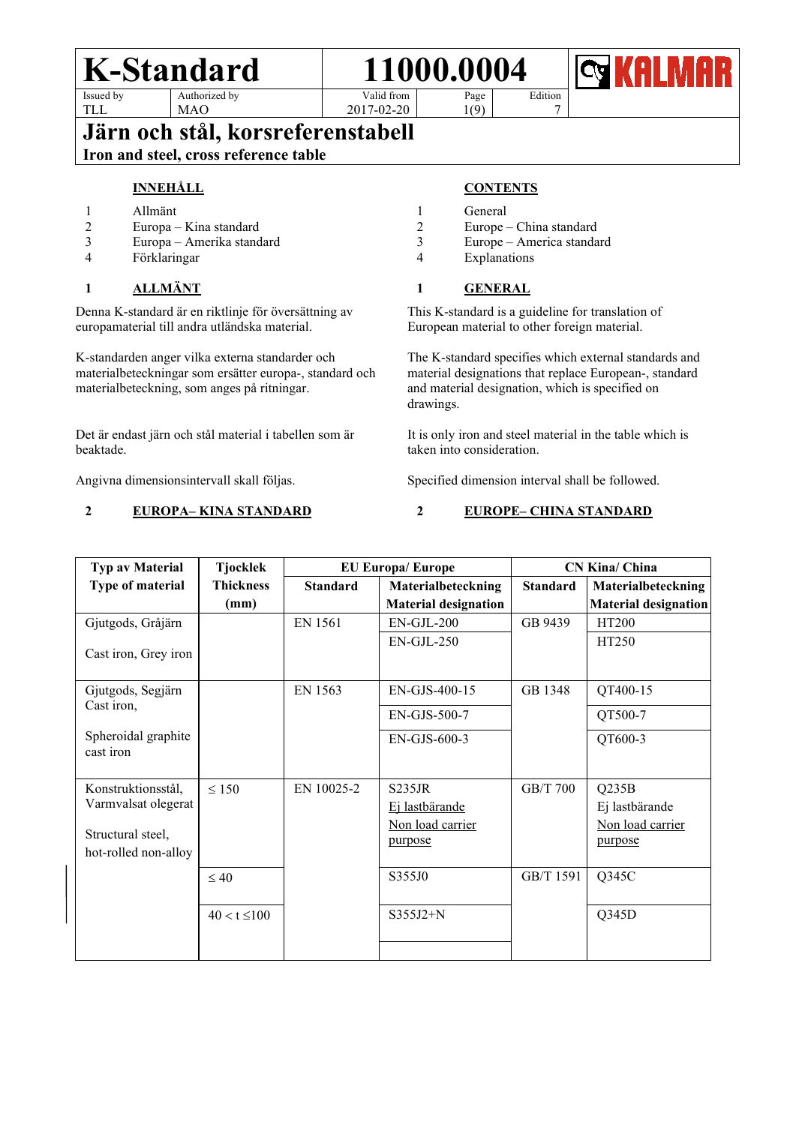

Edition 7

TLL

MAO

Valid from 2017-02-20

Page  $1(9)$ 

### **Järn och stål, korsreferenstabell**

### **Iron and steel, cross reference table**

#### **INNEHÅLL**

- 1 Allmänt<br>2 Europa –
- Europa Kina standard
- 3 Europa Amerika standard
- **Förklaringar**

#### **1 ALLMÄNT**

Denna K-standard är en riktlinje för översättning av europamaterial till andra utländska material.

K-standarden anger vilka externa standarder och materialbeteckningar som ersätter europa-, standard och materialbeteckning, som anges på ritningar.

Det är endast järn och stål material i tabellen som är beaktade.

Angivna dimensionsintervall skall följas.

#### **2 EUROPA– KINA STANDARD**

#### **CONTENTS**

- 1 General<br>2 Europe
- Europe China standard
- 3 Europe America standard
- **Explanations**

#### **1 GENERAL**

This K-standard is a guideline for translation of European material to other foreign material.

The K-standard specifies which external standards and material designations that replace European-, standard and material designation, which is specified on drawings.

It is only iron and steel material in the table which is taken into consideration.

Specified dimension interval shall be followed.

#### **2 EUROPE– CHINA STANDARD**

| Typ av Material                           | <b>Tjocklek</b>  |                 | <b>EU Europa/Europe</b>     | <b>CN Kina/ China</b> |                             |
|-------------------------------------------|------------------|-----------------|-----------------------------|-----------------------|-----------------------------|
| Type of material                          | <b>Thickness</b> | <b>Standard</b> | Materialbeteckning          | <b>Standard</b>       | Materialbeteckning          |
|                                           | (mm)             |                 | <b>Material designation</b> |                       | <b>Material designation</b> |
| Gjutgods, Gråjärn                         |                  | EN 1561         | EN-GJL-200                  | GB 9439               | HT200                       |
| Cast iron, Grey iron                      |                  |                 | $EN-GJL-250$                |                       | HT250                       |
| Gjutgods, Segjärn                         |                  | EN 1563         | EN-GJS-400-15               | GB 1348               | QT400-15                    |
| Cast iron,                                |                  |                 | EN-GJS-500-7                |                       | QT500-7                     |
| Spheroidal graphite<br>cast iron          |                  |                 | EN-GJS-600-3                |                       | QT600-3                     |
| Konstruktionsstål,                        | $\leq 150$       | EN 10025-2      | S235JR                      | GB/T 700              | Q235B                       |
| Varmvalsat olegerat                       |                  |                 | Ej lastbärande              |                       | Ej lastbärande              |
|                                           |                  |                 | Non load carrier            |                       | Non load carrier            |
| Structural steel,<br>hot-rolled non-alloy |                  |                 | purpose                     |                       | purpose                     |
|                                           | $\leq 40$        |                 | S355J0                      | GB/T 1591             | Q345C                       |
|                                           | $40 < t \le 100$ |                 | $S355J2+N$                  |                       | Q345D                       |
|                                           |                  |                 |                             |                       |                             |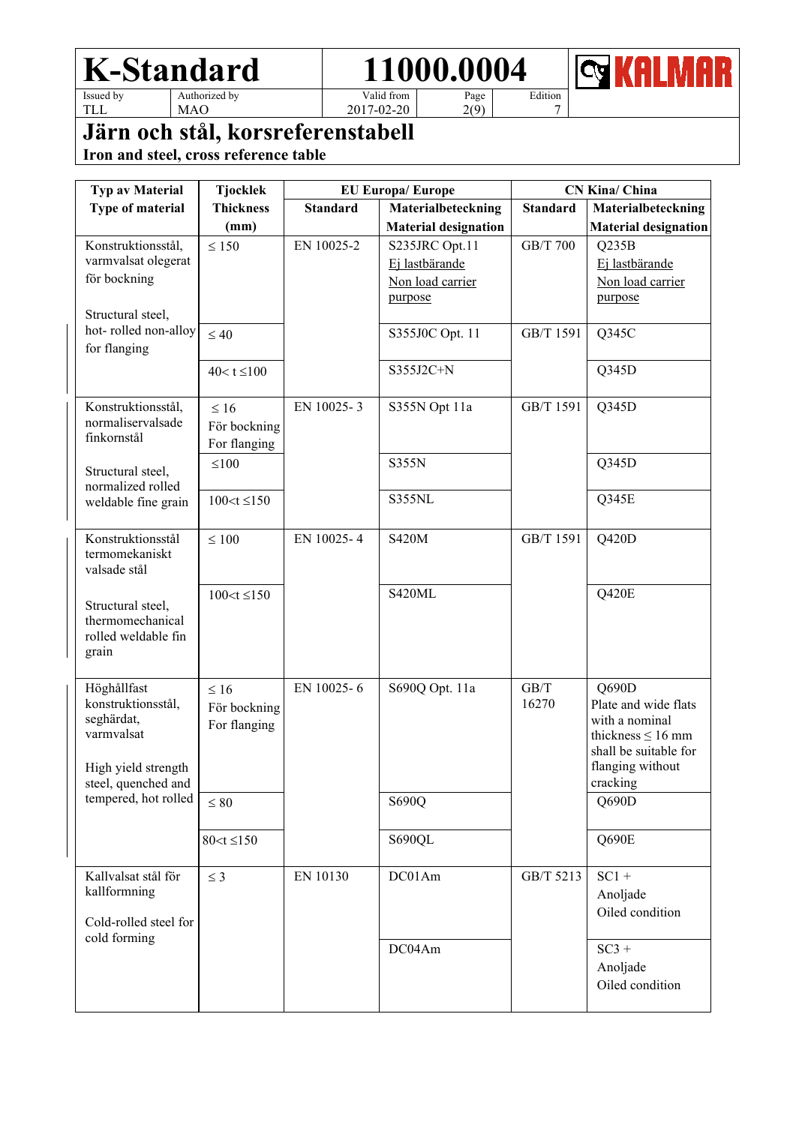**REX RELI**  $\blacksquare$ R M

TLL

MAO

Valid from 2017-02-20

Page 2(9) Edition 7

### **Järn och stål, korsreferenstabell**

| <b>Typ av Material</b>                     | <b>Tjocklek</b>   | <b>EU Europa/Europe</b> |                             | <b>CN Kina/ China</b> |                                           |
|--------------------------------------------|-------------------|-------------------------|-----------------------------|-----------------------|-------------------------------------------|
| Type of material                           | <b>Thickness</b>  | <b>Standard</b>         | Materialbeteckning          | <b>Standard</b>       | Materialbeteckning                        |
|                                            | (mm)              |                         | <b>Material designation</b> |                       | <b>Material designation</b>               |
| Konstruktionsstål,                         | $\leq 150$        | EN 10025-2              | S235JRC Opt.11              | <b>GB/T 700</b>       | Q235B                                     |
| varmvalsat olegerat                        |                   |                         | Ej lastbärande              |                       | Ej lastbärande                            |
| för bockning                               |                   |                         | Non load carrier            |                       | Non load carrier                          |
|                                            |                   |                         | purpose                     |                       | purpose                                   |
| Structural steel,<br>hot-rolled non-alloy  |                   |                         |                             |                       |                                           |
| for flanging                               | $\leq 40$         |                         | S355J0C Opt. 11             | GB/T 1591             | Q345C                                     |
|                                            | $40 < t \le 100$  |                         | S355J2C+N                   |                       | Q345D                                     |
|                                            |                   |                         |                             |                       |                                           |
| Konstruktionsstål,                         | $\leq 16$         | EN 10025-3              | S355N Opt 11a               | GB/T 1591             | Q345D                                     |
| normaliservalsade                          | För bockning      |                         |                             |                       |                                           |
| finkornstål                                | For flanging      |                         |                             |                       |                                           |
|                                            | $\leq 100$        |                         | S355N                       |                       | Q345D                                     |
| Structural steel,<br>normalized rolled     |                   |                         |                             |                       |                                           |
| weldable fine grain                        | $100 < t \le 150$ |                         | S355NL                      |                       | Q345E                                     |
|                                            |                   |                         |                             |                       |                                           |
| Konstruktionsstål                          | $\leq 100$        | EN 10025-4              | <b>S420M</b>                | GB/T 1591             | Q420D                                     |
| termomekaniskt                             |                   |                         |                             |                       |                                           |
| valsade stål                               |                   |                         |                             |                       |                                           |
| Structural steel,                          | $100 < t \le 150$ |                         | S420ML                      |                       | Q420E                                     |
| thermomechanical                           |                   |                         |                             |                       |                                           |
| rolled weldable fin                        |                   |                         |                             |                       |                                           |
| grain                                      |                   |                         |                             |                       |                                           |
| Höghållfast                                | $\leq 16$         | EN 10025-6              | S690Q Opt. 11a              | GB/T                  | Q690D                                     |
| konstruktionsstål,                         | För bockning      |                         |                             | 16270                 | Plate and wide flats                      |
| seghärdat,                                 | For flanging      |                         |                             |                       | with a nominal                            |
| varmvalsat                                 |                   |                         |                             |                       | thickness $\leq 16$ mm                    |
|                                            |                   |                         |                             |                       | shall be suitable for<br>flanging without |
| High yield strength<br>steel, quenched and |                   |                         |                             |                       | cracking                                  |
| tempered, hot rolled                       | $\leq 80$         |                         | S690Q                       |                       | Q690D                                     |
|                                            |                   |                         |                             |                       |                                           |
|                                            | $80 < t \le 150$  |                         | S690QL                      |                       | Q690E                                     |
|                                            |                   |                         |                             |                       |                                           |
| Kallvalsat stål för                        | $\leq$ 3          | EN 10130                | DC01Am                      | GB/T 5213             | $SC1 +$                                   |
| kallformning                               |                   |                         |                             |                       | Anoljade                                  |
| Cold-rolled steel for                      |                   |                         |                             |                       | Oiled condition                           |
| cold forming                               |                   |                         |                             |                       |                                           |
|                                            |                   |                         | DC04Am                      |                       | $SC3 +$<br>Anoljade                       |
|                                            |                   |                         |                             |                       | Oiled condition                           |
|                                            |                   |                         |                             |                       |                                           |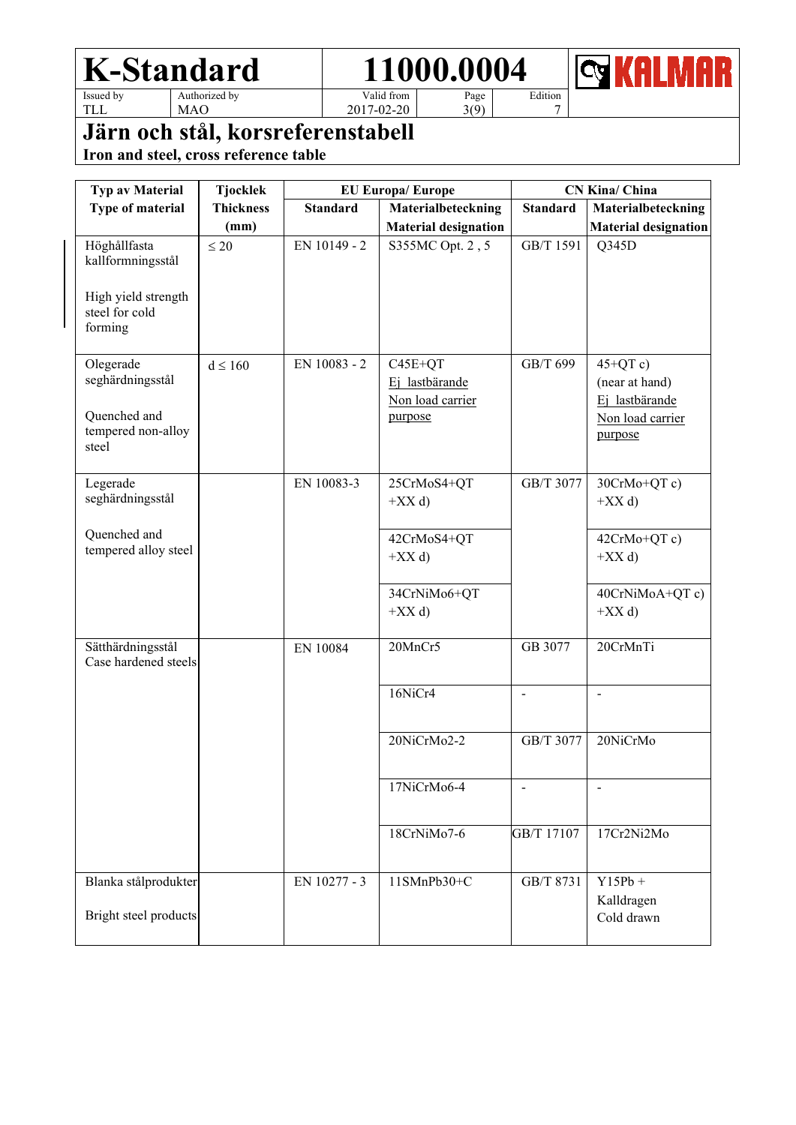Edition

**<b>REALMAR** 

TLL

MAO

Valid from 2017-02-20

Page 3(9)

7

## **Järn och stål, korsreferenstabell**

| <b>Typ av Material</b>                                                                | <b>Tjocklek</b>  | <b>EU Europa/Europe</b> |                                                            |                          | CN Kina/ China                                                                |  |
|---------------------------------------------------------------------------------------|------------------|-------------------------|------------------------------------------------------------|--------------------------|-------------------------------------------------------------------------------|--|
| Type of material                                                                      | <b>Thickness</b> | <b>Standard</b>         | Materialbeteckning                                         | <b>Standard</b>          | Materialbeteckning                                                            |  |
|                                                                                       | (mm)             |                         | <b>Material designation</b>                                |                          | <b>Material designation</b>                                                   |  |
| Höghållfasta<br>kallformningsstål<br>High yield strength<br>steel for cold<br>forming | $\leq 20$        | EN 10149 - 2            | S355MC Opt. 2, 5                                           | GB/T 1591                | Q345D                                                                         |  |
|                                                                                       |                  |                         |                                                            |                          |                                                                               |  |
| Olegerade<br>seghärdningsstål<br>Quenched and<br>tempered non-alloy<br>steel          | $d \leq 160$     | EN 10083 - 2            | $C45E+QT$<br>Ej lastbärande<br>Non load carrier<br>purpose | GB/T 699                 | $45+QTc$ )<br>(near at hand)<br>Ej lastbärande<br>Non load carrier<br>purpose |  |
| Legerade<br>seghärdningsstål                                                          |                  | EN 10083-3              | 25CrMoS4+QT<br>$+XX d$                                     | GB/T 3077                | 30CrMo+QT c)<br>$+XX d$                                                       |  |
| Quenched and<br>tempered alloy steel                                                  |                  |                         | 42CrMoS4+QT<br>$+XX d$                                     |                          | 42CrMo+QT c)<br>$+XX d$                                                       |  |
|                                                                                       |                  |                         | 34CrNiMo6+QT<br>$+XX d$                                    |                          | 40CrNiMoA+QT c)<br>$+XX d$                                                    |  |
| Sätthärdningsstål<br>Case hardened steels                                             |                  | EN 10084                | 20MnCr5                                                    | GB 3077                  | 20CrMnTi                                                                      |  |
|                                                                                       |                  |                         | 16NiCr4                                                    | $\overline{\phantom{a}}$ | $\overline{a}$                                                                |  |
|                                                                                       |                  |                         | 20NiCrMo2-2                                                | GB/T 3077                | 20NiCrMo                                                                      |  |
|                                                                                       |                  |                         | 17NiCrMo6-4                                                |                          | $\overline{a}$                                                                |  |
|                                                                                       |                  |                         | 18CrNiMo7-6                                                | GB/T 17107               | 17Cr2Ni2Mo                                                                    |  |
| Blanka stålprodukter<br>Bright steel products                                         |                  | EN 10277 - 3            | 11SMnPb30+C                                                | GB/T 8731                | $Y15Pb +$<br>Kalldragen<br>Cold drawn                                         |  |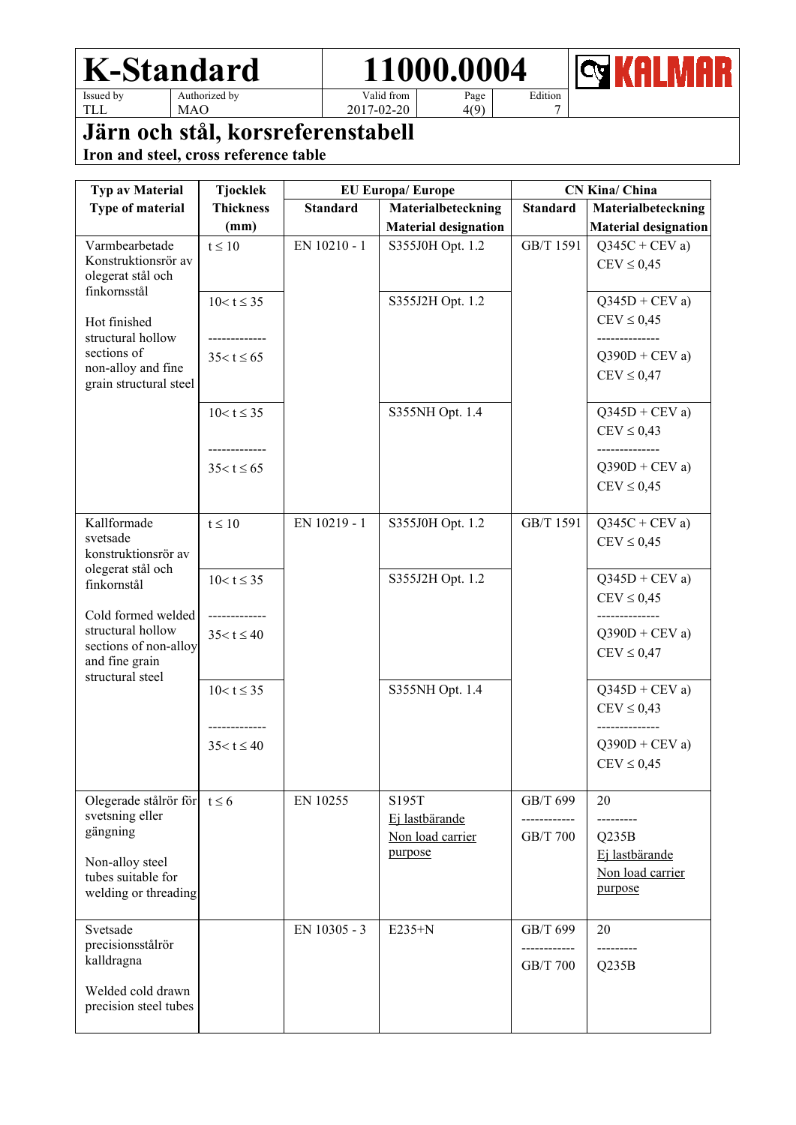

**Q** KALMAR

TLL

MAO

2017-02-20

Page 4(9) Edition 7

# **Järn och stål, korsreferenstabell**

| Typ av Material                                                                                        | <b>Tjocklek</b>                | <b>EU Europa/Europe</b> |                                             | <b>CN Kina/ China</b>                |                                                      |
|--------------------------------------------------------------------------------------------------------|--------------------------------|-------------------------|---------------------------------------------|--------------------------------------|------------------------------------------------------|
| Type of material                                                                                       | <b>Thickness</b>               | <b>Standard</b>         | Materialbeteckning                          | <b>Standard</b>                      | Materialbeteckning                                   |
|                                                                                                        | (mm)                           |                         | <b>Material designation</b>                 |                                      | <b>Material designation</b>                          |
| Varmbearbetade<br>Konstruktionsrör av<br>olegerat stål och                                             | $t \leq 10$                    | EN 10210 - 1            | S355J0H Opt. 1.2                            | GB/T 1591                            | $Q345C + CEV a$<br>$CEV \leq 0.45$                   |
| finkornsstål                                                                                           | $10 < t \leq 35$               |                         | S355J2H Opt. 1.2                            |                                      | $Q345D + CEV a$                                      |
| Hot finished<br>structural hollow<br>sections of                                                       | ----------<br>$35 < t \le 65$  |                         |                                             |                                      | $CEV \leq 0.45$<br>--------------<br>$Q390D + CEV a$ |
| non-alloy and fine<br>grain structural steel                                                           |                                |                         |                                             |                                      | $CEV \leq 0,47$                                      |
|                                                                                                        | $10 < t \leq 35$               |                         | S355NH Opt. 1.4                             |                                      | $Q345D + CEV a$<br>$CEV \leq 0,43$<br>-------------- |
|                                                                                                        | $35 < t \le 65$                |                         |                                             |                                      | $Q390D + CEV a$<br>$CEV \leq 0.45$                   |
| Kallformade<br>svetsade<br>konstruktionsrör av<br>olegerat stål och                                    | $t \leq 10$                    | EN 10219 - 1            | S355J0H Opt. 1.2                            | GB/T 1591                            | $Q345C + CEV a$<br>$CEV \leq 0.45$                   |
| finkornstål                                                                                            | $10 < t \leq 35$               |                         | S355J2H Opt. 1.2                            |                                      | $Q345D + CEV a$<br>$CEV \leq 0.45$                   |
| Cold formed welded<br>structural hollow<br>sections of non-alloy<br>and fine grain<br>structural steel | -----------<br>$35 < t \le 40$ |                         |                                             |                                      | $Q390D + CEV a$<br>$CEV \leq 0,47$                   |
|                                                                                                        | $10 < t \leq 35$               |                         | S355NH Opt. 1.4                             |                                      | $Q345D + CEV a$<br>$CEV \leq 0,43$                   |
|                                                                                                        | $35 < t \le 40$                |                         |                                             |                                      | $Q390D + CEV a$<br>$CEV \leq 0.45$                   |
| Olegerade stålrör för $t \le 6$<br>svetsning eller<br>gängning                                         |                                | EN 10255                | S195T<br>Ej lastbärande<br>Non load carrier | GB/T 699<br>GB/T 700                 | 20<br>Q235B                                          |
| Non-alloy steel<br>tubes suitable for<br>welding or threading                                          |                                |                         | purpose                                     |                                      | Ej lastbärande<br>Non load carrier<br>purpose        |
| Svetsade<br>precisionsstålrör<br>kalldragna                                                            |                                | EN 10305 - 3            | $E235+N$                                    | GB/T 699<br>------------<br>GB/T 700 | 20<br>---------<br>Q235B                             |
| Welded cold drawn<br>precision steel tubes                                                             |                                |                         |                                             |                                      |                                                      |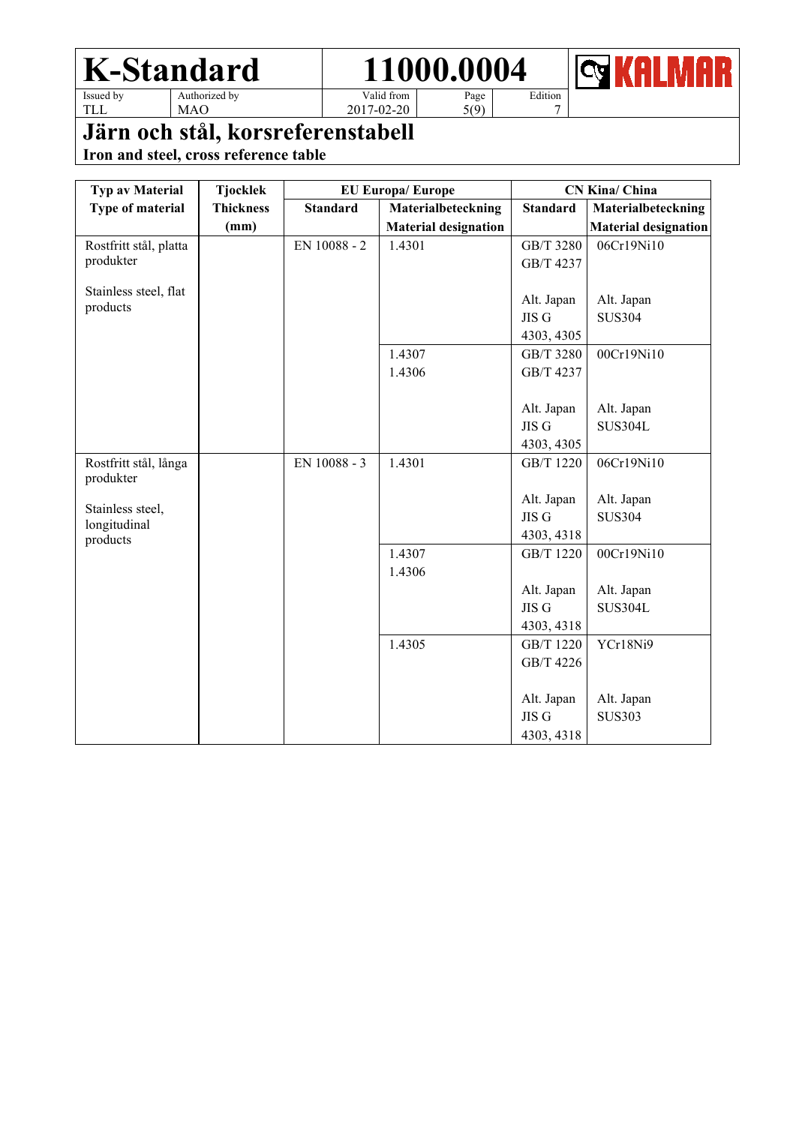

Edition 7



TLL

MAO

Valid from 2017-02-20

Page 5(9)

### **Järn och stål, korsreferenstabell**

| Typ av Material                   | <b>Tjocklek</b>  |                 | <b>EU Europa/Europe</b>     | <b>CN Kina/ China</b> |                             |  |
|-----------------------------------|------------------|-----------------|-----------------------------|-----------------------|-----------------------------|--|
| Type of material                  | <b>Thickness</b> | <b>Standard</b> | Materialbeteckning          | <b>Standard</b>       | Materialbeteckning          |  |
|                                   | (mm)             |                 | <b>Material designation</b> |                       | <b>Material designation</b> |  |
| Rostfritt stål, platta            |                  | EN 10088 - 2    | 1.4301                      | GB/T 3280             | 06Cr19Ni10                  |  |
| produkter                         |                  |                 |                             | GB/T 4237             |                             |  |
|                                   |                  |                 |                             |                       |                             |  |
| Stainless steel, flat<br>products |                  |                 |                             | Alt. Japan            | Alt. Japan                  |  |
|                                   |                  |                 |                             | JIS G                 | <b>SUS304</b>               |  |
|                                   |                  |                 |                             | 4303, 4305            |                             |  |
|                                   |                  |                 | 1.4307                      | GB/T 3280             | 00Cr19Ni10                  |  |
|                                   |                  |                 | 1.4306                      | GB/T 4237             |                             |  |
|                                   |                  |                 |                             |                       |                             |  |
|                                   |                  |                 |                             | Alt. Japan            | Alt. Japan                  |  |
|                                   |                  |                 |                             | JIS G                 | <b>SUS304L</b>              |  |
|                                   |                  |                 |                             | 4303, 4305            |                             |  |
| Rostfritt stål, långa             |                  | EN 10088 - 3    | 1.4301                      | GB/T 1220             | 06Cr19Ni10                  |  |
| produkter                         |                  |                 |                             |                       |                             |  |
| Stainless steel,                  |                  |                 |                             | Alt. Japan            | Alt. Japan                  |  |
| longitudinal                      |                  |                 |                             | JIS G                 | <b>SUS304</b>               |  |
| products                          |                  |                 |                             | 4303, 4318            |                             |  |
|                                   |                  |                 | 1.4307                      | GB/T 1220             | 00Cr19Ni10                  |  |
|                                   |                  |                 | 1.4306                      |                       |                             |  |
|                                   |                  |                 |                             | Alt. Japan            | Alt. Japan                  |  |
|                                   |                  |                 |                             | JIS G                 | <b>SUS304L</b>              |  |
|                                   |                  |                 |                             | 4303, 4318            |                             |  |
|                                   |                  |                 | 1.4305                      | GB/T 1220             | YCr18Ni9                    |  |
|                                   |                  |                 |                             | GB/T 4226             |                             |  |
|                                   |                  |                 |                             |                       |                             |  |
|                                   |                  |                 |                             | Alt. Japan            | Alt. Japan                  |  |
|                                   |                  |                 |                             | JIS G                 | <b>SUS303</b>               |  |
|                                   |                  |                 |                             | 4303, 4318            |                             |  |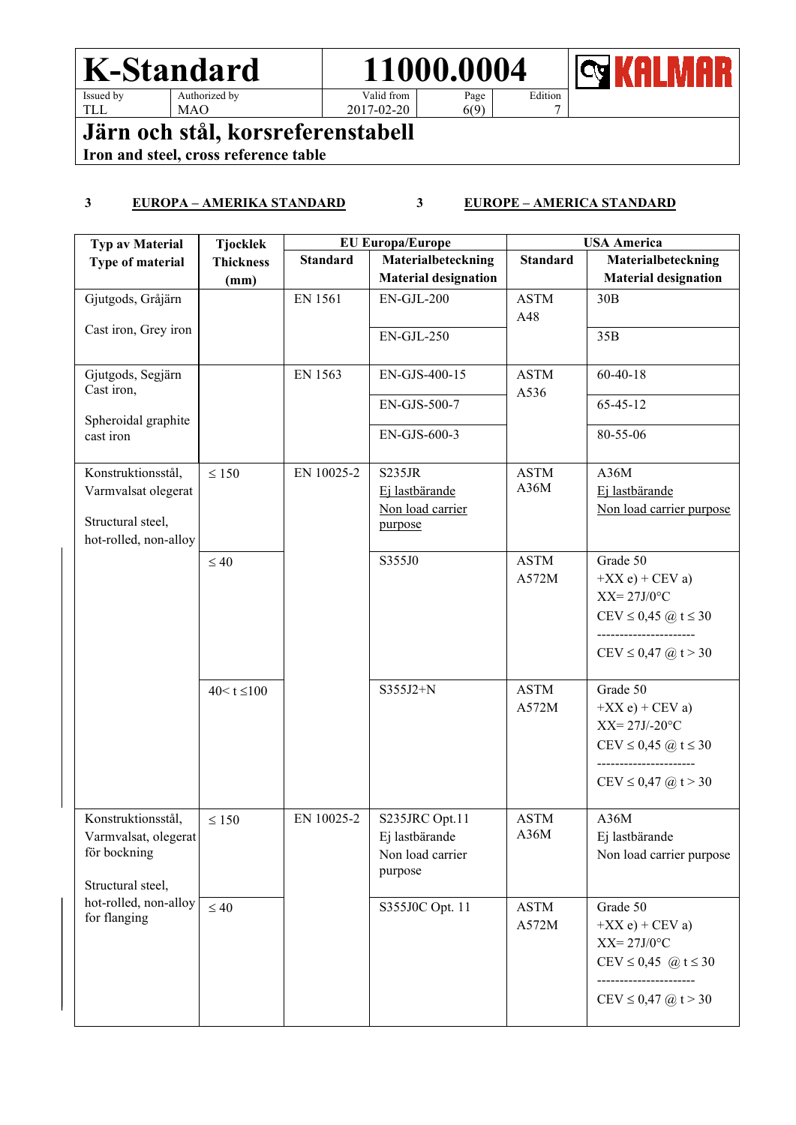TLL

MAO

Valid from 2017-02-20 Edition

7

KAI  $\overline{\mathbf{c}}$ R

Page  $6(9)$ 

**Järn och stål, korsreferenstabell**

**Iron and steel, cross reference table**

#### **3 EUROPA – AMERIKA STANDARD 3 EUROPE – AMERICA STANDARD**

| <b>Typ av Material</b>                                                                  | <b>Tjocklek</b>  | <b>EU Europa/Europe</b> |                                                                 |                      | <b>USA America</b>                                                                                                                         |  |
|-----------------------------------------------------------------------------------------|------------------|-------------------------|-----------------------------------------------------------------|----------------------|--------------------------------------------------------------------------------------------------------------------------------------------|--|
| Type of material                                                                        | <b>Thickness</b> | <b>Standard</b>         | Materialbeteckning                                              | <b>Standard</b>      | Materialbeteckning                                                                                                                         |  |
|                                                                                         | (mm)             |                         | <b>Material designation</b>                                     |                      | <b>Material designation</b>                                                                                                                |  |
| Gjutgods, Gråjärn                                                                       |                  | EN 1561                 | $EN-GJL-200$                                                    | <b>ASTM</b><br>A48   | 30B                                                                                                                                        |  |
| Cast iron, Grey iron                                                                    |                  |                         | $EN-GJL-250$                                                    |                      | 35B                                                                                                                                        |  |
| Gjutgods, Segjärn<br>Cast iron,                                                         |                  | EN 1563                 | EN-GJS-400-15                                                   | <b>ASTM</b><br>A536  | $60 - 40 - 18$                                                                                                                             |  |
| Spheroidal graphite                                                                     |                  |                         | EN-GJS-500-7                                                    |                      | $65 - 45 - 12$                                                                                                                             |  |
| cast iron                                                                               |                  |                         | EN-GJS-600-3                                                    |                      | 80-55-06                                                                                                                                   |  |
| Konstruktionsstål,<br>Varmvalsat olegerat<br>Structural steel,<br>hot-rolled, non-alloy | $\leq 150$       | EN 10025-2              | S235JR<br>Ej lastbärande<br>Non load carrier<br>purpose         | <b>ASTM</b><br>A36M  | A36M<br>Ej lastbärande<br>Non load carrier purpose                                                                                         |  |
|                                                                                         | $\leq 40$        |                         | S355J0                                                          | <b>ASTM</b><br>A572M | Grade 50<br>$+XX e$ + CEV a)<br>$XX = 27J/0$ °C<br>CEV ≤ 0,45 @ t ≤ 30<br>-----------------<br>$CEV \le 0,47$ (a) $t > 30$                 |  |
|                                                                                         | $40 < t \le 100$ |                         | S355J2+N                                                        | <b>ASTM</b><br>A572M | Grade 50<br>$+XX e$ + CEV a)<br>$XX = 27J/-20$ °C<br>CEV ≤ 0,45 @ t ≤ 30<br>----------------<br>CEV $\leq$ 0,47 $\omega$ t > 30            |  |
| Konstruktionsstål,<br>Varmvalsat, olegerat<br>för bockning<br>Structural steel,         | $\leq 150$       | EN 10025-2              | S235JRC Opt.11<br>Ej lastbärande<br>Non load carrier<br>purpose | <b>ASTM</b><br>A36M  | A36M<br>Ej lastbärande<br>Non load carrier purpose                                                                                         |  |
| hot-rolled, non-alloy<br>for flanging                                                   | $\leq 40$        |                         | S355J0C Opt. 11                                                 | <b>ASTM</b><br>A572M | Grade 50<br>$+XX e$ + CEV a)<br>$XX = 27J/0$ °C<br>$CEV \le 0,45$ @ t $\le 30$<br>----------------<br>$CEV \le 0,47$ ( <i>a</i> ) $t > 30$ |  |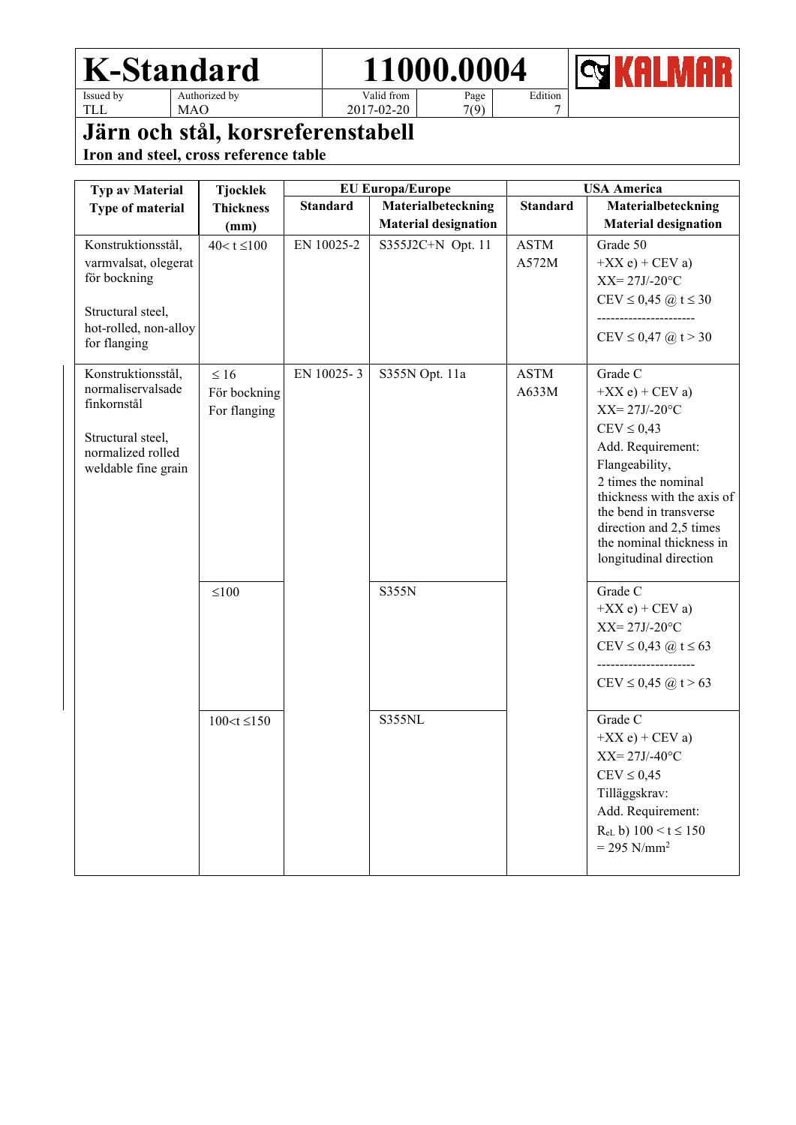**<b>REALMAR** 

TLL

MAO

Valid from 2017-02-20

Page 7(9)

Edition 7

### **Järn och stål, korsreferenstabell**

| Typ av Material                                                                                                          | <b>Tjocklek</b>                                         |                 | <b>EU Europa/Europe</b>                           |                      | <b>USA America</b>                                                                                                                                                                                                                                                                    |
|--------------------------------------------------------------------------------------------------------------------------|---------------------------------------------------------|-----------------|---------------------------------------------------|----------------------|---------------------------------------------------------------------------------------------------------------------------------------------------------------------------------------------------------------------------------------------------------------------------------------|
| Type of material                                                                                                         | <b>Thickness</b><br>(mm)                                | <b>Standard</b> | Materialbeteckning<br><b>Material designation</b> | <b>Standard</b>      | Materialbeteckning<br><b>Material designation</b>                                                                                                                                                                                                                                     |
| Konstruktionsstål,<br>varmvalsat, olegerat<br>för bockning<br>Structural steel,<br>hot-rolled, non-alloy<br>for flanging | $40 < t \le 100$                                        | EN 10025-2      | S355J2C+N Opt. 11                                 | <b>ASTM</b><br>A572M | Grade 50<br>$+XX e$ ) + CEV a)<br>$XX = 27J/-20$ °C<br>$CEV \le 0,45 \ (\hat{\omega}) \ t \le 30$<br>CEV $\leq$ 0,47 $\omega$ t > 30                                                                                                                                                  |
| Konstruktionsstål,<br>normaliservalsade<br>finkornstål<br>Structural steel,<br>normalized rolled<br>weldable fine grain  | $\leq 16$<br>För bockning<br>For flanging<br>$\leq 100$ | EN 10025-3      | S355N Opt. 11a<br>S355N                           | <b>ASTM</b><br>A633M | Grade C<br>$+XX e$ + CEV a)<br>$XX = 27J/-20$ °C<br>$CEV \leq 0,43$<br>Add. Requirement:<br>Flangeability,<br>2 times the nominal<br>thickness with the axis of<br>the bend in transverse<br>direction and 2,5 times<br>the nominal thickness in<br>longitudinal direction<br>Grade C |
|                                                                                                                          | $100 < t \le 150$                                       |                 | S355NL                                            |                      | $+XX e$ + CEV a)<br>$XX = 27J/-20$ °C<br>$CEV \le 0,43$ (a) $t \le 63$<br>CEV $\leq$ 0,45 @ t $>$ 63<br>Grade C<br>$+XX e$ + CEV a)<br>$XX = 27J/ -40°C$<br>$CEV \leq 0.45$<br>Tilläggskrav:<br>Add. Requirement:<br>$R_{eL}$ b) $100 < t \le 150$<br>$= 295$ N/mm <sup>2</sup>       |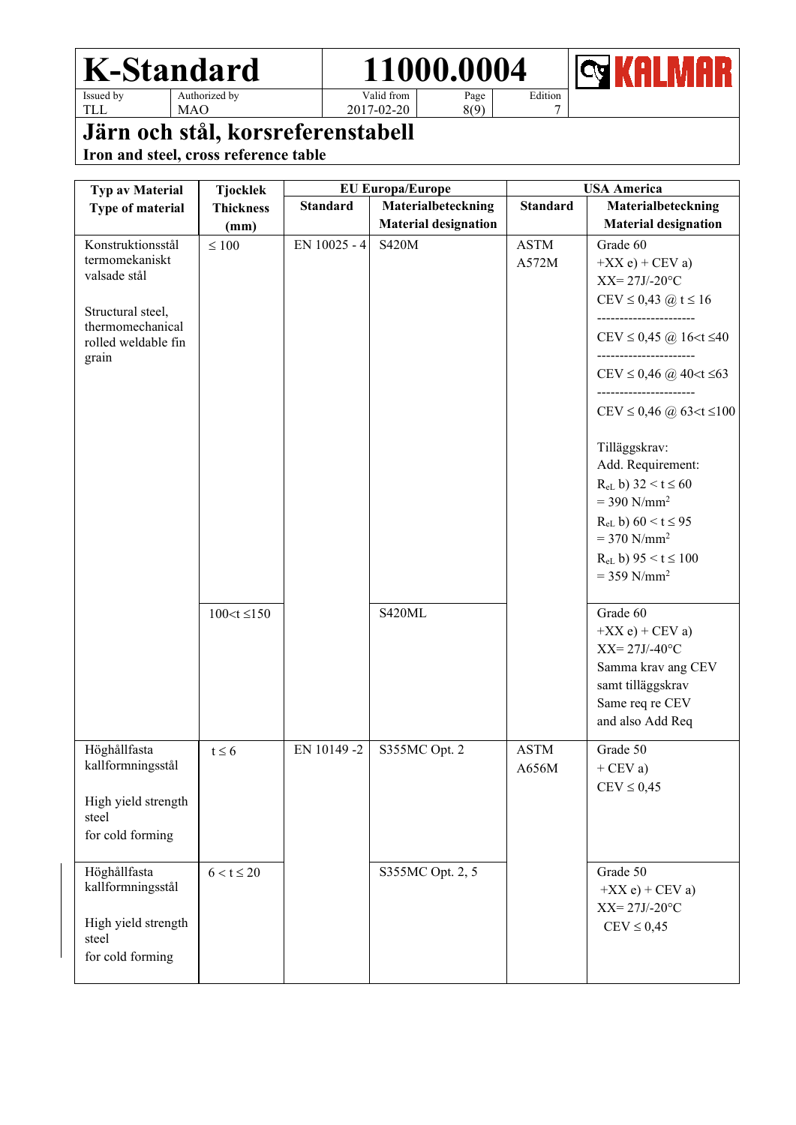



TLL

MAO

Valid from 2017-02-20

Page 8(9) Edition 7

### **Järn och stål, korsreferenstabell**

| <b>Typ av Material</b>                | <b>Tjocklek</b>   |                 | <b>EU Europa/Europe</b>     |                 | <b>USA America</b>                  |
|---------------------------------------|-------------------|-----------------|-----------------------------|-----------------|-------------------------------------|
| Type of material                      | <b>Thickness</b>  | <b>Standard</b> | Materialbeteckning          | <b>Standard</b> | Materialbeteckning                  |
|                                       | (mm)              |                 | <b>Material designation</b> |                 | <b>Material designation</b>         |
| Konstruktionsstål                     | $\leq 100$        | EN 10025 - 4    | <b>S420M</b>                | <b>ASTM</b>     | Grade 60                            |
| termomekaniskt                        |                   |                 |                             | A572M           | $+XX e$ ) + CEV a)                  |
| valsade stål                          |                   |                 |                             |                 | $XX = 27J/-20$ °C                   |
|                                       |                   |                 |                             |                 | CEV ≤ 0,43 @ t ≤ 16                 |
| Structural steel,<br>thermomechanical |                   |                 |                             |                 | ----------------                    |
| rolled weldable fin                   |                   |                 |                             |                 | CEV $\leq$ 0,45 @ 16 < t $\leq$ 40  |
| grain                                 |                   |                 |                             |                 |                                     |
|                                       |                   |                 |                             |                 | CEV ≤ 0,46 @ 40 < t ≤ 63            |
|                                       |                   |                 |                             |                 |                                     |
|                                       |                   |                 |                             |                 | CEV $\leq$ 0,46 @ 63 < t $\leq$ 100 |
|                                       |                   |                 |                             |                 | Tilläggskrav:                       |
|                                       |                   |                 |                             |                 | Add. Requirement:                   |
|                                       |                   |                 |                             |                 | $R_{eL}$ b) 32 < t $\leq 60$        |
|                                       |                   |                 |                             |                 | $=$ 390 N/mm <sup>2</sup>           |
|                                       |                   |                 |                             |                 | $R_{eL}$ b) 60 < t $\leq$ 95        |
|                                       |                   |                 |                             |                 | $= 370$ N/mm <sup>2</sup>           |
|                                       |                   |                 |                             |                 | $R_{eL}$ b) 95 < t $\leq$ 100       |
|                                       |                   |                 |                             |                 | $= 359$ N/mm <sup>2</sup>           |
|                                       | $100 < t \le 150$ |                 | S420ML                      |                 | Grade 60                            |
|                                       |                   |                 |                             |                 | $+XX e$ + CEV a)                    |
|                                       |                   |                 |                             |                 | $XX = 27J/ -40°C$                   |
|                                       |                   |                 |                             |                 | Samma krav ang CEV                  |
|                                       |                   |                 |                             |                 | samt tilläggskrav                   |
|                                       |                   |                 |                             |                 | Same req re CEV                     |
|                                       |                   |                 |                             |                 | and also Add Req                    |
| Höghållfasta                          | $t \leq 6$        | EN 10149-2      | S355MC Opt. 2               | <b>ASTM</b>     | Grade 50                            |
| kallformningsstål                     |                   |                 |                             | A656M           | $+$ CEV a)                          |
|                                       |                   |                 |                             |                 | $CEV \leq 0,45$                     |
| High yield strength<br>steel          |                   |                 |                             |                 |                                     |
| for cold forming                      |                   |                 |                             |                 |                                     |
|                                       |                   |                 |                             |                 |                                     |
| Höghållfasta                          | $6 < t \leq 20$   |                 | S355MC Opt. 2, 5            |                 | Grade 50                            |
| kallformningsstål                     |                   |                 |                             |                 | $+XX e$ + CEV a)                    |
|                                       |                   |                 |                             |                 | $XX = 27J/-20$ °C                   |
| High yield strength<br>steel          |                   |                 |                             |                 | $CEV \leq 0.45$                     |
| for cold forming                      |                   |                 |                             |                 |                                     |
|                                       |                   |                 |                             |                 |                                     |